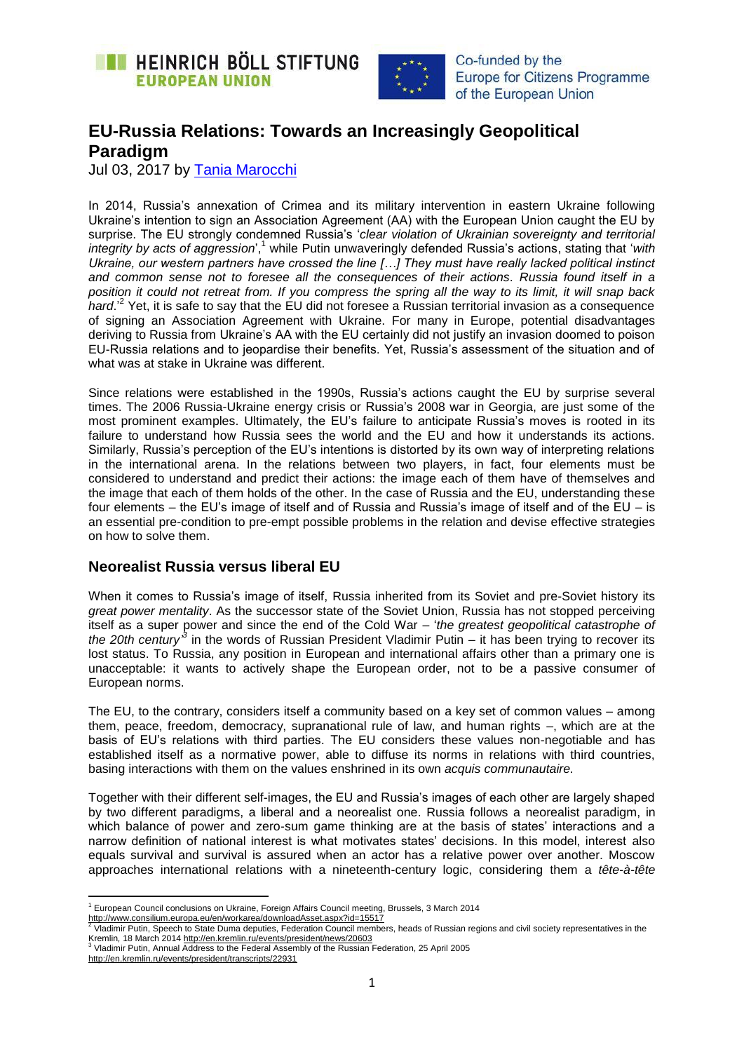



# **EU-Russia Relations: Towards an Increasingly Geopolitical Paradigm**

Jul 03, 2017 by [Tania Marocchi](https://eu.boell.org/en/person/tania-marocchi)

In 2014, Russia's annexation of Crimea and its military intervention in eastern Ukraine following Ukraine's intention to sign an Association Agreement (AA) with the European Union caught the EU by surprise. The EU strongly condemned Russia's '*clear violation of Ukrainian sovereignty and territorial integrity by acts of aggression*', <sup>1</sup> while Putin unwaveringly defended Russia's actions, stating that '*with Ukraine, our western partners have crossed the line […] They must have really lacked political instinct and common sense not to foresee all the consequences of their actions. Russia found itself in a position it could not retreat from. If you compress the spring all the way to its limit, it will snap back hard*.' 2 Yet, it is safe to say that the EU did not foresee a Russian territorial invasion as a consequence of signing an Association Agreement with Ukraine. For many in Europe, potential disadvantages deriving to Russia from Ukraine's AA with the EU certainly did not justify an invasion doomed to poison EU-Russia relations and to jeopardise their benefits. Yet, Russia's assessment of the situation and of what was at stake in Ukraine was different.

Since relations were established in the 1990s, Russia's actions caught the EU by surprise several times. The 2006 Russia-Ukraine energy crisis or Russia's 2008 war in Georgia, are just some of the most prominent examples. Ultimately, the EU's failure to anticipate Russia's moves is rooted in its failure to understand how Russia sees the world and the EU and how it understands its actions. Similarly, Russia's perception of the EU's intentions is distorted by its own way of interpreting relations in the international arena. In the relations between two players, in fact, four elements must be considered to understand and predict their actions: the image each of them have of themselves and the image that each of them holds of the other. In the case of Russia and the EU, understanding these four elements – the EU's image of itself and of Russia and Russia's image of itself and of the EU – is an essential pre-condition to pre-empt possible problems in the relation and devise effective strategies on how to solve them.

## **Neorealist Russia versus liberal EU**

When it comes to Russia's image of itself. Russia inherited from its Soviet and pre-Soviet history its *great power mentality*. As the successor state of the Soviet Union, Russia has not stopped perceiving itself as a super power and since the end of the Cold War – '*the greatest geopolitical catastrophe of the 20th century*<sup>3</sup> in the words of Russian President Vladimir Putin – it has been trying to recover its lost status. To Russia, any position in European and international affairs other than a primary one is unacceptable: it wants to actively shape the European order, not to be a passive consumer of European norms.

The EU, to the contrary, considers itself a community based on a key set of common values – among them, peace, freedom, democracy, supranational rule of law, and human rights –, which are at the basis of EU's relations with third parties. The EU considers these values non-negotiable and has established itself as a normative power, able to diffuse its norms in relations with third countries, basing interactions with them on the values enshrined in its own *acquis communautaire.* 

Together with their different self-images, the EU and Russia's images of each other are largely shaped by two different paradigms, a liberal and a neorealist one. Russia follows a neorealist paradigm, in which balance of power and zero-sum game thinking are at the basis of states' interactions and a narrow definition of national interest is what motivates states' decisions. In this model, interest also equals survival and survival is assured when an actor has a relative power over another. Moscow approaches international relations with a nineteenth-century logic, considering them a *tête-à-tête*

**.** 

 $<sup>1</sup>$  European Council conclusions on Ukraine, Foreign Affairs Council meeting, Brussels, 3 March 2014</sup>

<sup>&</sup>lt;u><http://www.consilium.europa.eu/en/workarea/downloadAsset.aspx?id=15517></u><br><sup>2</sup> Vladimir Putin, Speech to State Duma deputies, Federation Council members, heads of Russian regions and civil society representatives in the Kremlin, 18 March 201[4 http://en.kremlin.ru/events/president/news/20603](http://en.kremlin.ru/events/president/news/20603)

<sup>3</sup> Vladimir Putin, Annual Address to the Federal Assembly of the Russian Federation, 25 April 2005

<http://en.kremlin.ru/events/president/transcripts/22931>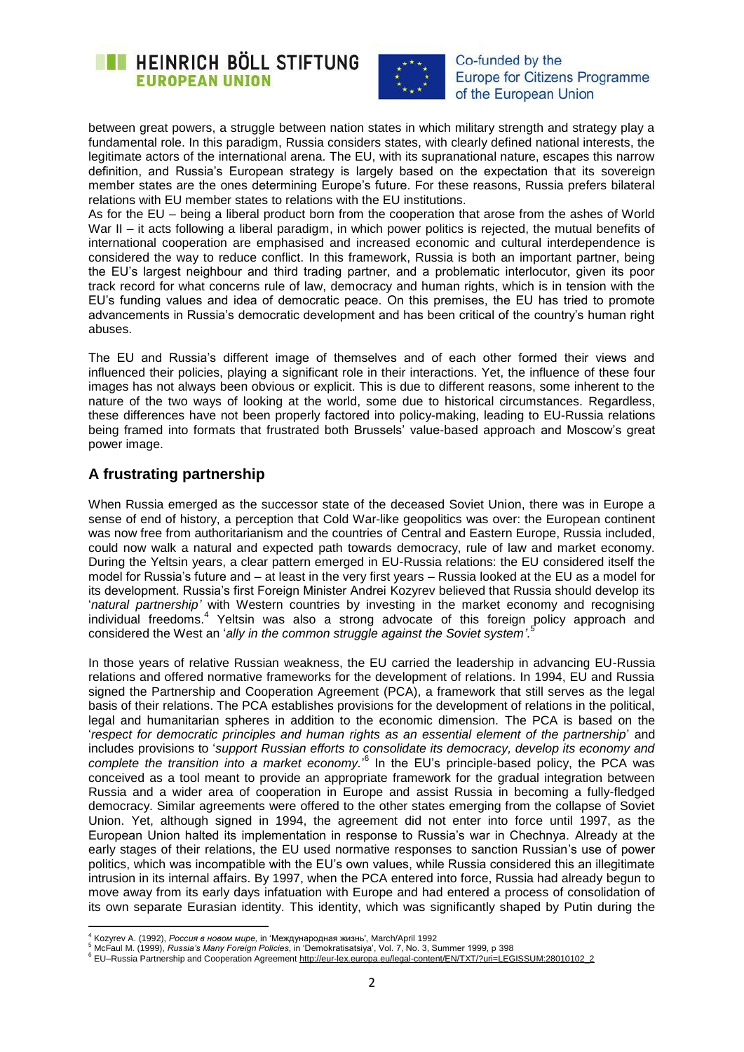



between great powers, a struggle between nation states in which military strength and strategy play a fundamental role. In this paradigm, Russia considers states, with clearly defined national interests, the legitimate actors of the international arena. The EU, with its supranational nature, escapes this narrow definition, and Russia's European strategy is largely based on the expectation that its sovereign member states are the ones determining Europe's future. For these reasons, Russia prefers bilateral relations with EU member states to relations with the EU institutions.

As for the EU – being a liberal product born from the cooperation that arose from the ashes of World War II – it acts following a liberal paradigm, in which power politics is rejected, the mutual benefits of international cooperation are emphasised and increased economic and cultural interdependence is considered the way to reduce conflict. In this framework, Russia is both an important partner, being the EU's largest neighbour and third trading partner, and a problematic interlocutor, given its poor track record for what concerns rule of law, democracy and human rights, which is in tension with the EU's funding values and idea of democratic peace. On this premises, the EU has tried to promote advancements in Russia's democratic development and has been critical of the country's human right abuses.

The EU and Russia's different image of themselves and of each other formed their views and influenced their policies, playing a significant role in their interactions. Yet, the influence of these four images has not always been obvious or explicit. This is due to different reasons, some inherent to the nature of the two ways of looking at the world, some due to historical circumstances. Regardless, these differences have not been properly factored into policy-making, leading to EU-Russia relations being framed into formats that frustrated both Brussels' value-based approach and Moscow's great power image.

# **A frustrating partnership**

When Russia emerged as the successor state of the deceased Soviet Union, there was in Europe a sense of end of history, a perception that Cold War-like geopolitics was over: the European continent was now free from authoritarianism and the countries of Central and Eastern Europe, Russia included, could now walk a natural and expected path towards democracy, rule of law and market economy. During the Yeltsin years, a clear pattern emerged in EU-Russia relations: the EU considered itself the model for Russia's future and – at least in the very first years – Russia looked at the EU as a model for its development. Russia's first Foreign Minister Andrei Kozyrev believed that Russia should develop its '*natural partnership"* with Western countries by investing in the market economy and recognising individual freedoms.<sup>4</sup> Yeltsin was also a strong advocate of this foreign policy approach and considered the West an '*ally in the common struggle against the Soviet system"*. 5

In those years of relative Russian weakness, the EU carried the leadership in advancing EU-Russia relations and offered normative frameworks for the development of relations. In 1994, EU and Russia signed the Partnership and Cooperation Agreement (PCA), a framework that still serves as the legal basis of their relations. The PCA establishes provisions for the development of relations in the political, legal and humanitarian spheres in addition to the economic dimension. The PCA is based on the '*respect for democratic principles and human rights as an essential element of the partnership*' and includes provisions to '*support Russian efforts to consolidate its democracy, develop its economy and*  complete the transition into a market economy.<sup>6</sup> In the EU's principle-based policy, the PCA was conceived as a tool meant to provide an appropriate framework for the gradual integration between Russia and a wider area of cooperation in Europe and assist Russia in becoming a fully-fledged democracy. Similar agreements were offered to the other states emerging from the collapse of Soviet Union. Yet, although signed in 1994, the agreement did not enter into force until 1997, as the European Union halted its implementation in response to Russia's war in Chechnya. Already at the early stages of their relations, the EU used normative responses to sanction Russian's use of power politics, which was incompatible with the EU's own values, while Russia considered this an illegitimate intrusion in its internal affairs. By 1997, when the PCA entered into force, Russia had already begun to move away from its early days infatuation with Europe and had entered a process of consolidation of its own separate Eurasian identity. This identity, which was significantly shaped by Putin during the

**<sup>.</sup>** <sup>4</sup> Kozyrev A. (1992), *Россия в новом мире,* in 'Международная жизнь', March/April 1992

<sup>5</sup> McFaul M. (1999), *Russia"s Many Foreign Policies*, in 'Demokratisatsiya', Vol. 7, No. 3, Summer 1999, p 398

<sup>6</sup> EU–Russia Partnership and Cooperation Agreement [http://eur-lex.europa.eu/legal-content/EN/TXT/?uri=LEGISSUM:28010102\\_2](http://eur-lex.europa.eu/legal-content/EN/TXT/?uri=LEGISSUM:28010102_2)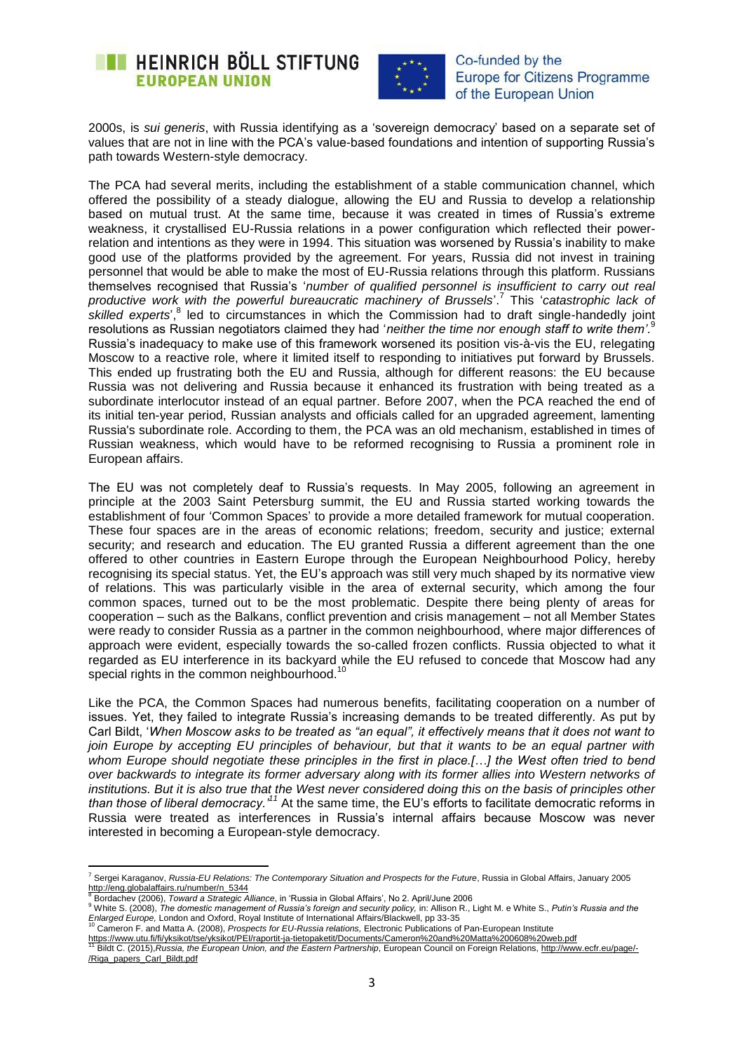



2000s, is *sui generis*, with Russia identifying as a 'sovereign democracy' based on a separate set of values that are not in line with the PCA's value-based foundations and intention of supporting Russia's path towards Western-style democracy.

The PCA had several merits, including the establishment of a stable communication channel, which offered the possibility of a steady dialogue, allowing the EU and Russia to develop a relationship based on mutual trust. At the same time, because it was created in times of Russia's extreme weakness, it crystallised EU-Russia relations in a power configuration which reflected their powerrelation and intentions as they were in 1994. This situation was worsened by Russia's inability to make good use of the platforms provided by the agreement. For years, Russia did not invest in training personnel that would be able to make the most of EU-Russia relations through this platform. Russians themselves recognised that Russia's '*number of qualified personnel is insufficient to carry out real productive work with the powerful bureaucratic machinery of Brussels*'. 7 This '*catastrophic lack of*  skilled experts',<sup>8</sup> led to circumstances in which the Commission had to draft single-handedly joint resolutions as Russian negotiators claimed they had '*neither the time nor enough staff to write them"*. 9 Russia's inadequacy to make use of this framework worsened its position vis-à-vis the EU, relegating Moscow to a reactive role, where it limited itself to responding to initiatives put forward by Brussels. This ended up frustrating both the EU and Russia, although for different reasons: the EU because Russia was not delivering and Russia because it enhanced its frustration with being treated as a subordinate interlocutor instead of an equal partner. Before 2007, when the PCA reached the end of its initial ten-year period, Russian analysts and officials called for an upgraded agreement, lamenting Russia's subordinate role. According to them, the PCA was an old mechanism, established in times of Russian weakness, which would have to be reformed recognising to Russia a prominent role in European affairs.

The EU was not completely deaf to Russia's requests. In May 2005, following an agreement in principle at the 2003 Saint Petersburg summit, the EU and Russia started working towards the establishment of four 'Common Spaces' to provide a more detailed framework for mutual cooperation. These four spaces are in the areas of economic relations; freedom, security and justice; external security; and research and education. The EU granted Russia a different agreement than the one offered to other countries in Eastern Europe through the European Neighbourhood Policy, hereby recognising its special status. Yet, the EU's approach was still very much shaped by its normative view of relations. This was particularly visible in the area of external security, which among the four common spaces, turned out to be the most problematic. Despite there being plenty of areas for cooperation – such as the Balkans, conflict prevention and crisis management – not all Member States were ready to consider Russia as a partner in the common neighbourhood, where major differences of approach were evident, especially towards the so-called frozen conflicts. Russia objected to what it regarded as EU interference in its backyard while the EU refused to concede that Moscow had any special rights in the common neighbourhood.<sup>10</sup>

Like the PCA, the Common Spaces had numerous benefits, facilitating cooperation on a number of issues. Yet, they failed to integrate Russia's increasing demands to be treated differently. As put by Carl Bildt, '*When Moscow asks to be treated as "an equal", it effectively means that it does not want to join Europe by accepting EU principles of behaviour, but that it wants to be an equal partner with whom Europe should negotiate these principles in the first in place.[…] the West often tried to bend over backwards to integrate its former adversary along with its former allies into Western networks of institutions. But it is also true that the West never considered doing this on the basis of principles other than those of liberal democracy."<sup>11</sup>* At the same time, the EU's efforts to facilitate democratic reforms in Russia were treated as interferences in Russia's internal affairs because Moscow was never interested in becoming a European-style democracy.

1

<sup>7</sup> Sergei Karaganov, *Russia-EU Relations: The Contemporary Situation and Prospects for the Future*, Russia in Global Affairs, January 2005 [http://eng.globalaffairs.ru/number/n\\_5344](http://eng.globalaffairs.ru/number/n_5344)<br>8 Deptasts pu (2000), Taurent a Citategia

<sup>8</sup> Bordachev (2006), *Toward a Strategic Alliance*, in 'Russia in Global Affairs', No 2. April/June 2006

<sup>9</sup> White S. (2008), *The domestic management of Russia"s foreign and security policy,* in: Allison R., Light M. e White S., *Putin"s Russia and the Enlarged Europe,* London and Oxford, Royal Institute of International Affairs/Blackwell, pp 33-35<br><sup>10</sup> Cameron F. and Matta A. (2008), *Prospects for EU-Russia relations,* Electronic Publications of Pan-European Institute

<https://www.utu.fi/fi/yksikot/tse/yksikot/PEI/raportit-ja-tietopaketit/Documents/Cameron%20and%20Matta%200608%20web.pdf> <sup>11</sup> Bildt C. (2015),*Russia, the European Union, and the Eastern Partnership*, European Council on Foreign Relations[, http://www.ecfr.eu/page/-](http://www.ecfr.eu/page/-/Riga_papers_Carl_Bildt.pdf) [/Riga\\_papers\\_Carl\\_Bildt.pdf](http://www.ecfr.eu/page/-/Riga_papers_Carl_Bildt.pdf)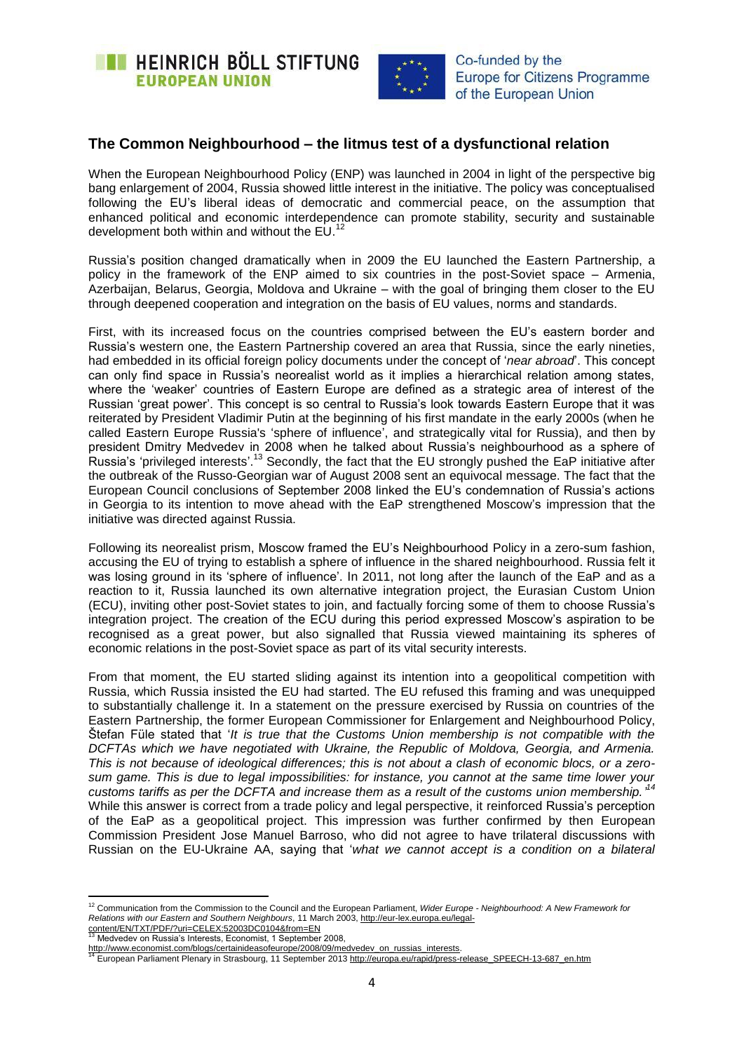



# **The Common Neighbourhood – the litmus test of a dysfunctional relation**

When the European Neighbourhood Policy (ENP) was launched in 2004 in light of the perspective big bang enlargement of 2004, Russia showed little interest in the initiative. The policy was conceptualised following the EU's liberal ideas of democratic and commercial peace, on the assumption that enhanced political and economic interdependence can promote stability, security and sustainable development both within and without the EU.<sup>12</sup>

Russia's position changed dramatically when in 2009 the EU launched the Eastern Partnership, a policy in the framework of the ENP aimed to six countries in the post-Soviet space – Armenia, Azerbaijan, Belarus, Georgia, Moldova and Ukraine – with the goal of bringing them closer to the EU through deepened cooperation and integration on the basis of EU values, norms and standards.

First, with its increased focus on the countries comprised between the EU's eastern border and Russia's western one, the Eastern Partnership covered an area that Russia, since the early nineties, had embedded in its official foreign policy documents under the concept of '*near abroad*'. This concept can only find space in Russia's neorealist world as it implies a hierarchical relation among states, where the 'weaker' countries of Eastern Europe are defined as a strategic area of interest of the Russian 'great power'. This concept is so central to Russia's look towards Eastern Europe that it was reiterated by President Vladimir Putin at the beginning of his first mandate in the early 2000s (when he called Eastern Europe Russia's 'sphere of influence', and strategically vital for Russia), and then by president Dmitry Medvedev in 2008 when he talked about Russia's neighbourhood as a sphere of .<br>Russia's 'privileged interests'.<sup>13</sup> Secondly, the fact that the EU strongly pushed the EaP initiative after the outbreak of the Russo-Georgian war of August 2008 sent an equivocal message. The fact that the European Council conclusions of September 2008 linked the EU's condemnation of Russia's actions in Georgia to its intention to move ahead with the EaP strengthened Moscow's impression that the initiative was directed against Russia.

Following its neorealist prism, Moscow framed the EU's Neighbourhood Policy in a zero-sum fashion, accusing the EU of trying to establish a sphere of influence in the shared neighbourhood. Russia felt it was losing ground in its 'sphere of influence'. In 2011, not long after the launch of the EaP and as a reaction to it, Russia launched its own alternative integration project, the Eurasian Custom Union (ECU), inviting other post-Soviet states to join, and factually forcing some of them to choose Russia's integration project. The creation of the ECU during this period expressed Moscow's aspiration to be recognised as a great power, but also signalled that Russia viewed maintaining its spheres of economic relations in the post-Soviet space as part of its vital security interests.

From that moment, the EU started sliding against its intention into a geopolitical competition with Russia, which Russia insisted the EU had started. The EU refused this framing and was unequipped to substantially challenge it. In a statement on the pressure exercised by Russia on countries of the Eastern Partnership, the former European Commissioner for Enlargement and Neighbourhood Policy, Štefan Füle stated that '*It is true that the Customs Union membership is not compatible with the DCFTAs which we have negotiated with Ukraine, the Republic of Moldova, Georgia, and Armenia. This is not because of ideological differences; this is not about a clash of economic blocs, or a zerosum game. This is due to legal impossibilities: for instance, you cannot at the same time lower your customs tariffs as per the DCFTA and increase them as a result of the customs union membership." 14* While this answer is correct from a trade policy and legal perspective, it reinforced Russia's perception of the EaP as a geopolitical project. This impression was further confirmed by then European Commission President Jose Manuel Barroso, who did not agree to have trilateral discussions with Russian on the EU-Ukraine AA, saying that '*what we cannot accept is a condition on a bilateral* 

Medvedev on Russia's Interests, Economist, 1 September 2008,

**.** 

<sup>12</sup> Communication from the Commission to the Council and the European Parliament, *Wider Europe - Neighbourhood: A New Framework for Relations with our Eastern and Southern Neighbours*, 11 March 2003, [http://eur-lex.europa.eu/legal](http://eur-lex.europa.eu/legal-content/EN/TXT/PDF/?uri=CELEX:52003DC0104&from=EN)[content/EN/TXT/PDF/?uri=CELEX:52003DC0104&from=EN](http://eur-lex.europa.eu/legal-content/EN/TXT/PDF/?uri=CELEX:52003DC0104&from=EN)

<sup>&</sup>lt;u>http://www.economist.com/blogs/certainideasofeurope/2008/09/medvedev\_on\_russias\_interests</u>.<br><sup>14</sup> European Parliament Plenary in Strasbourg, 11 September 2013 <u>http://europa.eu/rapid/press-release\_SPEECH-13-687\_en.htm</u>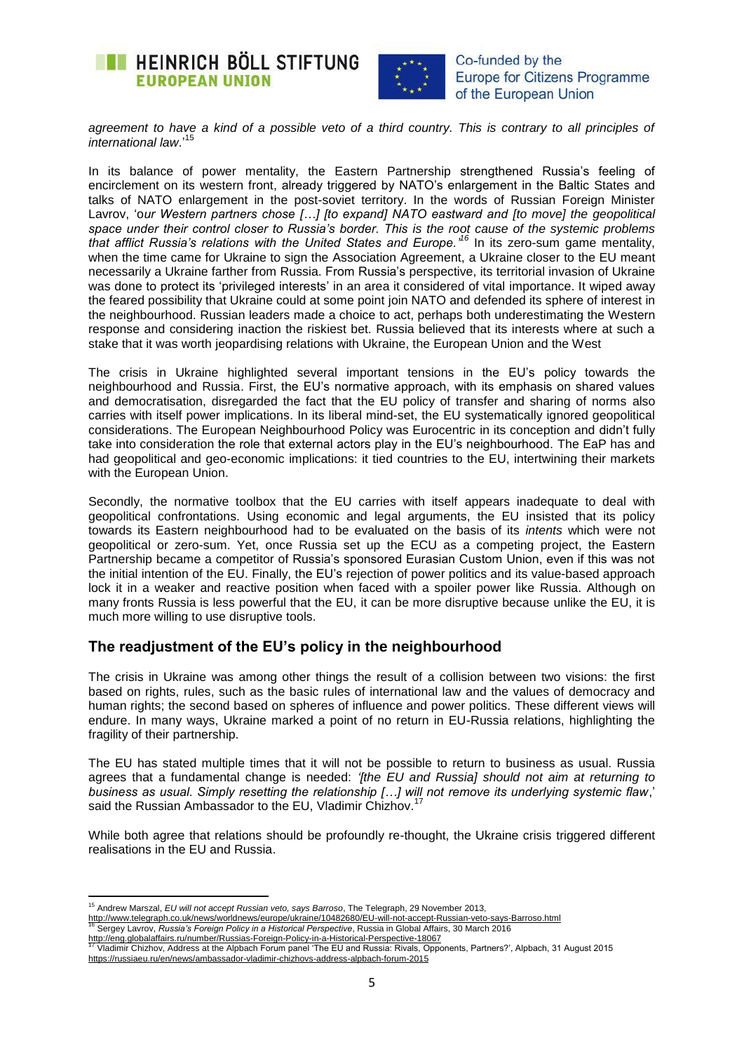



*agreement to have a kind of a possible veto of a third country. This is contrary to all principles of international law*.'<sup>15</sup>

In its balance of power mentality, the Eastern Partnership strengthened Russia's feeling of encirclement on its western front, already triggered by NATO's enlargement in the Baltic States and talks of NATO enlargement in the post-soviet territory. In the words of Russian Foreign Minister Lavrov, 'o*ur Western partners chose […] [to expand] NATO eastward and [to move] the geopolitical space under their control closer to Russia"s border. This is the root cause of the systemic problems that afflict Russia"s relations with the United States and Europe." <sup>16</sup>* In its zero-sum game mentality, when the time came for Ukraine to sign the Association Agreement, a Ukraine closer to the EU meant necessarily a Ukraine farther from Russia. From Russia's perspective, its territorial invasion of Ukraine was done to protect its 'privileged interests' in an area it considered of vital importance. It wiped away the feared possibility that Ukraine could at some point join NATO and defended its sphere of interest in the neighbourhood. Russian leaders made a choice to act, perhaps both underestimating the Western response and considering inaction the riskiest bet. Russia believed that its interests where at such a stake that it was worth jeopardising relations with Ukraine, the European Union and the West

The crisis in Ukraine highlighted several important tensions in the EU's policy towards the neighbourhood and Russia. First, the EU's normative approach, with its emphasis on shared values and democratisation, disregarded the fact that the EU policy of transfer and sharing of norms also carries with itself power implications. In its liberal mind-set, the EU systematically ignored geopolitical considerations. The European Neighbourhood Policy was Eurocentric in its conception and didn't fully take into consideration the role that external actors play in the EU's neighbourhood. The EaP has and had geopolitical and geo-economic implications: it tied countries to the EU, intertwining their markets with the European Union.

Secondly, the normative toolbox that the EU carries with itself appears inadequate to deal with geopolitical confrontations. Using economic and legal arguments, the EU insisted that its policy towards its Eastern neighbourhood had to be evaluated on the basis of its *intents* which were not geopolitical or zero-sum. Yet, once Russia set up the ECU as a competing project, the Eastern Partnership became a competitor of Russia's sponsored Eurasian Custom Union, even if this was not the initial intention of the EU. Finally, the EU's rejection of power politics and its value-based approach lock it in a weaker and reactive position when faced with a spoiler power like Russia. Although on many fronts Russia is less powerful that the EU, it can be more disruptive because unlike the EU, it is much more willing to use disruptive tools.

## **The readjustment of the EU's policy in the neighbourhood**

The crisis in Ukraine was among other things the result of a collision between two visions: the first based on rights, rules, such as the basic rules of international law and the values of democracy and human rights; the second based on spheres of influence and power politics. These different views will endure. In many ways, Ukraine marked a point of no return in EU-Russia relations, highlighting the fragility of their partnership.

The EU has stated multiple times that it will not be possible to return to business as usual. Russia agrees that a fundamental change is needed: *"[the EU and Russia] should not aim at returning to business as usual. Simply resetting the relationship […] will not remove its underlying systemic flaw*,' said the Russian Ambassador to the EU, Vladimir Chizhov.<sup>17</sup>

While both agree that relations should be profoundly re-thought, the Ukraine crisis triggered different realisations in the EU and Russia.

**<sup>.</sup>** <sup>15</sup> Andrew Marszal, *EU will not accept Russian veto, says Barroso*, The Telegraph, 29 November 2013, <http://www.telegraph.co.uk/news/worldnews/europe/ukraine/10482680/EU-will-not-accept-Russian-veto-says-Barroso.html>

<sup>16</sup> Sergey Lavrov, *Russia"s Foreign Policy in a Historical Perspective*, Russia in Global Affairs, 30 March 2016 <http://eng.globalaffairs.ru/number/Russias-Foreign-Policy-in-a-Historical-Perspective-18067>

<sup>17</sup> Vladimir Chizhov, Address at the Alpbach Forum panel 'The EU and Russia: Rivals, Opponents, Partners?', Alpbach, 31 August 2015 <https://russiaeu.ru/en/news/ambassador-vladimir-chizhovs-address-alpbach-forum-2015>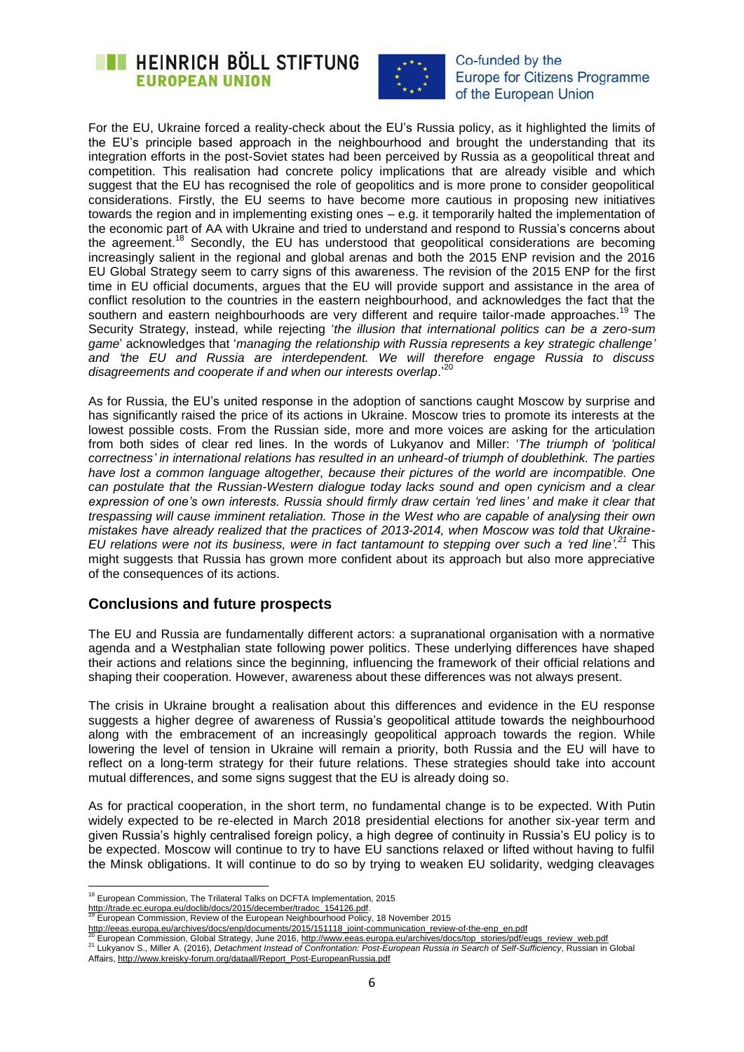



For the EU, Ukraine forced a reality-check about the EU's Russia policy, as it highlighted the limits of the EU's principle based approach in the neighbourhood and brought the understanding that its integration efforts in the post-Soviet states had been perceived by Russia as a geopolitical threat and competition. This realisation had concrete policy implications that are already visible and which suggest that the EU has recognised the role of geopolitics and is more prone to consider geopolitical considerations. Firstly, the EU seems to have become more cautious in proposing new initiatives towards the region and in implementing existing ones – e.g. it temporarily halted the implementation of the economic part of AA with Ukraine and tried to understand and respond to Russia's concerns about the agreement.<sup>18</sup> Secondly, the EU has understood that geopolitical considerations are becoming increasingly salient in the regional and global arenas and both the 2015 ENP revision and the 2016 EU Global Strategy seem to carry signs of this awareness. The revision of the 2015 ENP for the first time in EU official documents, argues that the EU will provide support and assistance in the area of conflict resolution to the countries in the eastern neighbourhood, and acknowledges the fact that the southern and eastern neighbourhoods are very different and require tailor-made approaches.<sup>19</sup> The Security Strategy, instead, while rejecting '*the illusion that international politics can be a zero-sum game*' acknowledges that '*managing the relationship with Russia represents a key strategic challenge" and "the EU and Russia are interdependent. We will therefore engage Russia to discuss disagreements and cooperate if and when our interests overlap*.'<sup>20</sup>

As for Russia, the EU's united response in the adoption of sanctions caught Moscow by surprise and has significantly raised the price of its actions in Ukraine. Moscow tries to promote its interests at the lowest possible costs. From the Russian side, more and more voices are asking for the articulation from both sides of clear red lines. In the words of Lukyanov and Miller: '*The triumph of "political correctness" in international relations has resulted in an unheard-of triumph of doublethink. The parties have lost a common language altogether, because their pictures of the world are incompatible. One can postulate that the Russian-Western dialogue today lacks sound and open cynicism and a clear expression of one"s own interests. Russia should firmly draw certain "red lines" and make it clear that trespassing will cause imminent retaliation. Those in the West who are capable of analysing their own mistakes have already realized that the practices of 2013-2014, when Moscow was told that Ukraine-EU relations were not its business, were in fact tantamount to stepping over such a "red line". <sup>21</sup>* This might suggests that Russia has grown more confident about its approach but also more appreciative of the consequences of its actions.

## **Conclusions and future prospects**

The EU and Russia are fundamentally different actors: a supranational organisation with a normative agenda and a Westphalian state following power politics. These underlying differences have shaped their actions and relations since the beginning, influencing the framework of their official relations and shaping their cooperation. However, awareness about these differences was not always present.

The crisis in Ukraine brought a realisation about this differences and evidence in the EU response suggests a higher degree of awareness of Russia's geopolitical attitude towards the neighbourhood along with the embracement of an increasingly geopolitical approach towards the region. While lowering the level of tension in Ukraine will remain a priority, both Russia and the EU will have to reflect on a long-term strategy for their future relations. These strategies should take into account mutual differences, and some signs suggest that the EU is already doing so.

As for practical cooperation, in the short term, no fundamental change is to be expected. With Putin widely expected to be re-elected in March 2018 presidential elections for another six-year term and given Russia's highly centralised foreign policy, a high degree of continuity in Russia's EU policy is to be expected. Moscow will continue to try to have EU sanctions relaxed or lifted without having to fulfil the Minsk obligations. It will continue to do so by trying to weaken EU solidarity, wedging cleavages

[http://trade.ec.europa.eu/doclib/docs/2015/december/tradoc\\_154126.pdf.](http://trade.ec.europa.eu/doclib/docs/2015/december/tradoc_154126.pdf) 

<sup>1</sup> <sup>18</sup> European Commission, The Trilateral Talks on DCFTA Implementation, 2015

<sup>19</sup> European Commission, Review of the European Neighbourhood Policy, 18 November 2015

[http://eeas.europa.eu/archives/docs/enp/documents/2015/151118\\_joint-communication\\_review-of-the-enp\\_en.pdf](http://eeas.europa.eu/archives/docs/enp/documents/2015/151118_joint-communication_review-of-the-enp_en.pdf)

European Commission, Global Strategy, June 2016[, http://www.eeas.europa.eu/archives/docs/top\\_stories/pdf/eugs\\_review\\_web.pdf](http://www.eeas.europa.eu/archives/docs/top_stories/pdf/eugs_review_web.pdf) <sup>21</sup> Lukyanov S., Miller A. (2016), *Detachment Instead of Confrontation: Post-European Russia in Search of Self-Sufficiency*, Russian in Global Affairs[, http://www.kreisky-forum.org/dataall/Report\\_Post-EuropeanRussia.pdf](http://www.kreisky-forum.org/dataall/Report_Post-EuropeanRussia.pdf)